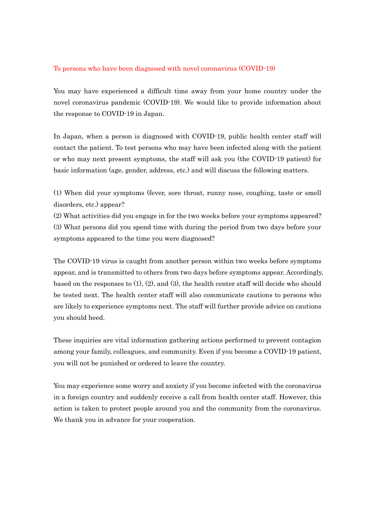## To persons who have been diagnosed with novel coronavirus (COVID-19)

You may have experienced a difficult time away from your home country under the novel coronavirus pandemic (COVID-19). We would like to provide information about the response to COVID-19 in Japan.

In Japan, when a person is diagnosed with COVID-19, public health center staff will contact the patient. To test persons who may have been infected along with the patient or who may next present symptoms, the staff will ask you (the COVID-19 patient) for basic information (age, gender, address, etc.) and will discuss the following matters.

(1) When did your symptoms (fever, sore throat, runny nose, coughing, taste or smell disorders, etc.) appear?

(2) What activities did you engage in for the two weeks before your symptoms appeared? (3) What persons did you spend time with during the period from two days before your symptoms appeared to the time you were diagnosed?

The COVID-19 virus is caught from another person within two weeks before symptoms appear, and is transmitted to others from two days before symptoms appear. Accordingly, based on the responses to  $(1), (2),$  and  $(3),$  the health center staff will decide who should be tested next. The health center staff will also communicate cautions to persons who are likely to experience symptoms next. The staff will further provide advice on cautions you should heed.

These inquiries are vital information gathering actions performed to prevent contagion among your family, colleagues, and community. Even if you become a COVID-19 patient, you will not be punished or ordered to leave the country.

You may experience some worry and anxiety if you become infected with the coronavirus in a foreign country and suddenly receive a call from health center staff. However, this action is taken to protect people around you and the community from the coronavirus. We thank you in advance for your cooperation.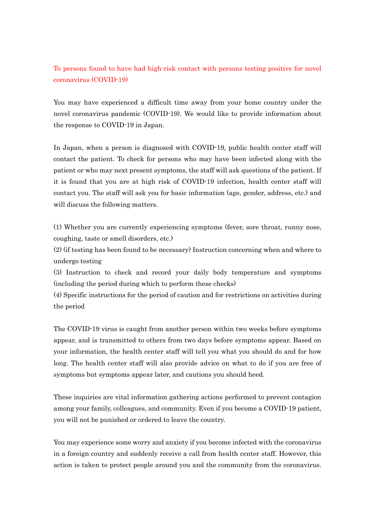## To persons found to have had high-risk contact with persons testing positive for novel coronavirus (COVID-19)

You may have experienced a difficult time away from your home country under the novel coronavirus pandemic (COVID-19). We would like to provide information about the response to COVID-19 in Japan.

In Japan, when a person is diagnosed with COVID-19, public health center staff will contact the patient. To check for persons who may have been infected along with the patient or who may next present symptoms, the staff will ask questions of the patient. If it is found that you are at high risk of COVID-19 infection, health center staff will contact you. The staff will ask you for basic information (age, gender, address, etc.) and will discuss the following matters.

(1) Whether you are currently experiencing symptoms (fever, sore throat, runny nose, coughing, taste or smell disorders, etc.)

(2) (if testing has been found to be necessary) Instruction concerning when and where to undergo testing

(3) Instruction to check and record your daily body temperature and symptoms (including the period during which to perform these checks)

(4) Specific instructions for the period of caution and for restrictions on activities during the period

The COVID-19 virus is caught from another person within two weeks before symptoms appear, and is transmitted to others from two days before symptoms appear. Based on your information, the health center staff will tell you what you should do and for how long. The health center staff will also provide advice on what to do if you are free of symptoms but symptoms appear later, and cautions you should heed.

These inquiries are vital information gathering actions performed to prevent contagion among your family, colleagues, and community. Even if you become a COVID-19 patient, you will not be punished or ordered to leave the country.

You may experience some worry and anxiety if you become infected with the coronavirus in a foreign country and suddenly receive a call from health center staff. However, this action is taken to protect people around you and the community from the coronavirus.